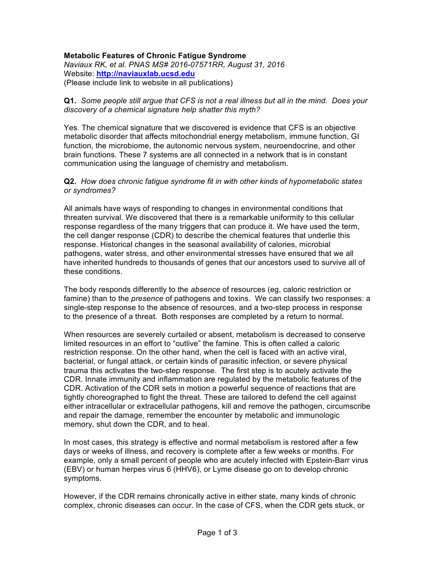## **Metabolic Features of Chronic Fatigue Syndrome**

*Naviaux RK, et al. PNAS MS# 2016-07571RR, August 31, 2016* Website: **http://naviauxlab.ucsd.edu** (Please include link to website in all publications)

### **Q1.** *Some people still argue that CFS is not a real illness but all in the mind. Does your discovery of a chemical signature help shatter this myth?*

Yes. The chemical signature that we discovered is evidence that CFS is an objective metabolic disorder that affects mitochondrial energy metabolism, immune function, GI function, the microbiome, the autonomic nervous system, neuroendocrine, and other brain functions. These 7 systems are all connected in a network that is in constant communication using the language of chemistry and metabolism.

#### **Q2.** *How does chronic fatigue syndrome fit in with other kinds of hypometabolic states or syndromes?*

All animals have ways of responding to changes in environmental conditions that threaten survival. We discovered that there is a remarkable uniformity to this cellular response regardless of the many triggers that can produce it. We have used the term, the cell danger response (CDR) to describe the chemical features that underlie this response. Historical changes in the seasonal availability of calories, microbial pathogens, water stress, and other environmental stresses have ensured that we all have inherited hundreds to thousands of genes that our ancestors used to survive all of these conditions.

The body responds differently to the *absence* of resources (eg, caloric restriction or famine) than to the *presence* of pathogens and toxins. We can classify two responses: a single-step response to the absence of resources, and a two-step process in response to the presence of a threat. Both responses are completed by a return to normal.

When resources are severely curtailed or absent, metabolism is decreased to conserve limited resources in an effort to "outlive" the famine. This is often called a caloric restriction response. On the other hand, when the cell is faced with an active viral, bacterial, or fungal attack, or certain kinds of parasitic infection, or severe physical trauma this activates the two-step response. The first step is to acutely activate the CDR. Innate immunity and inflammation are regulated by the metabolic features of the CDR. Activation of the CDR sets in motion a powerful sequence of reactions that are tightly choreographed to fight the threat. These are tailored to defend the cell against either intracellular or extracellular pathogens, kill and remove the pathogen, circumscribe and repair the damage, remember the encounter by metabolic and immunologic memory, shut down the CDR, and to heal.

In most cases, this strategy is effective and normal metabolism is restored after a few days or weeks of illness, and recovery is complete after a few weeks or months. For example, only a small percent of people who are acutely infected with Epstein-Barr virus (EBV) or human herpes virus 6 (HHV6), or Lyme disease go on to develop chronic symptoms.

However, if the CDR remains chronically active in either state, many kinds of chronic complex, chronic diseases can occur. In the case of CFS, when the CDR gets stuck, or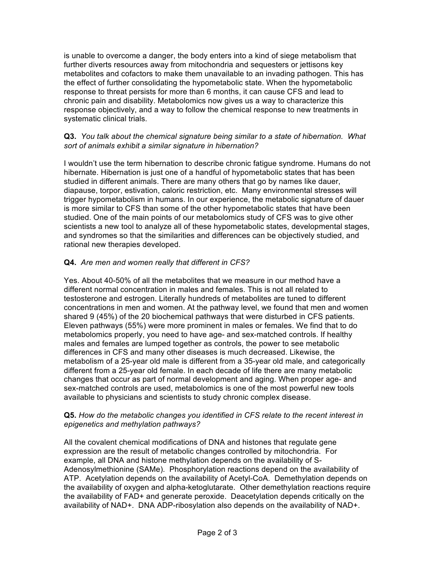is unable to overcome a danger, the body enters into a kind of siege metabolism that further diverts resources away from mitochondria and sequesters or jettisons key metabolites and cofactors to make them unavailable to an invading pathogen. This has the effect of further consolidating the hypometabolic state. When the hypometabolic response to threat persists for more than 6 months, it can cause CFS and lead to chronic pain and disability. Metabolomics now gives us a way to characterize this response objectively, and a way to follow the chemical response to new treatments in systematic clinical trials.

## **Q3.** *You talk about the chemical signature being similar to a state of hibernation. What sort of animals exhibit a similar signature in hibernation?*

I wouldn't use the term hibernation to describe chronic fatigue syndrome. Humans do not hibernate. Hibernation is just one of a handful of hypometabolic states that has been studied in different animals. There are many others that go by names like dauer, diapause, torpor, estivation, caloric restriction, etc. Many environmental stresses will trigger hypometabolism in humans. In our experience, the metabolic signature of dauer is more similar to CFS than some of the other hypometabolic states that have been studied. One of the main points of our metabolomics study of CFS was to give other scientists a new tool to analyze all of these hypometabolic states, developmental stages, and syndromes so that the similarities and differences can be objectively studied, and rational new therapies developed.

# **Q4.** *Are men and women really that different in CFS?*

Yes. About 40-50% of all the metabolites that we measure in our method have a different normal concentration in males and females. This is not all related to testosterone and estrogen. Literally hundreds of metabolites are tuned to different concentrations in men and women. At the pathway level, we found that men and women shared 9 (45%) of the 20 biochemical pathways that were disturbed in CFS patients. Eleven pathways (55%) were more prominent in males or females. We find that to do metabolomics properly, you need to have age- and sex-matched controls. If healthy males and females are lumped together as controls, the power to see metabolic differences in CFS and many other diseases is much decreased. Likewise, the metabolism of a 25-year old male is different from a 35-year old male, and categorically different from a 25-year old female. In each decade of life there are many metabolic changes that occur as part of normal development and aging. When proper age- and sex-matched controls are used, metabolomics is one of the most powerful new tools available to physicians and scientists to study chronic complex disease.

### **Q5.** *How do the metabolic changes you identified in CFS relate to the recent interest in epigenetics and methylation pathways?*

All the covalent chemical modifications of DNA and histones that regulate gene expression are the result of metabolic changes controlled by mitochondria. For example, all DNA and histone methylation depends on the availability of S-Adenosylmethionine (SAMe). Phosphorylation reactions depend on the availability of ATP. Acetylation depends on the availability of Acetyl-CoA. Demethylation depends on the availability of oxygen and alpha-ketoglutarate. Other demethylation reactions require the availability of FAD+ and generate peroxide. Deacetylation depends critically on the availability of NAD+. DNA ADP-ribosylation also depends on the availability of NAD+.